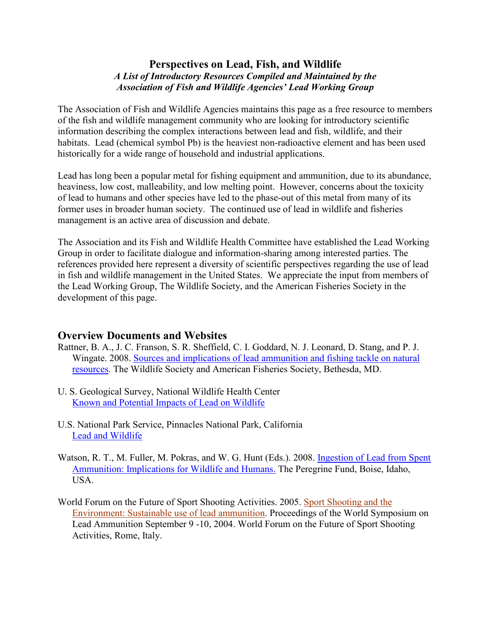## **Perspectives on Lead, Fish, and Wildlife** *A List of Introductory Resources Compiled and Maintained by the Association of Fish and Wildlife Agencies' Lead Working Group*

The Association of Fish and Wildlife Agencies maintains this page as a free resource to members of the fish and wildlife management community who are looking for introductory scientific information describing the complex interactions between lead and fish, wildlife, and their habitats. Lead (chemical symbol Pb) is the heaviest non-radioactive element and has been used historically for a wide range of household and industrial applications.

Lead has long been a popular metal for fishing equipment and ammunition, due to its abundance, heaviness, low cost, malleability, and low melting point. However, concerns about the toxicity of lead to humans and other species have led to the phase-out of this metal from many of its former uses in broader human society. The continued use of lead in wildlife and fisheries management is an active area of discussion and debate.

The Association and its Fish and Wildlife Health Committee have established the Lead Working Group in order to facilitate dialogue and information-sharing among interested parties. The references provided here represent a diversity of scientific perspectives regarding the use of lead in fish and wildlife management in the United States. We appreciate the input from members of the Lead Working Group, The Wildlife Society, and the American Fisheries Society in the development of this page.

# **Overview Documents and Websites**

- Rattner, B. A., J. C. Franson, S. R. Sheffield, C. I. Goddard, N. J. Leonard, D. Stang, and P. J. Wingate. 2008. [Sources and implications of lead ammunition and fishing tackle on natural](http://wildlife.org/wp-content/uploads/2014/05/Lead08-1.pdf)  [resources.](http://wildlife.org/wp-content/uploads/2014/05/Lead08-1.pdf) The Wildlife Society and American Fisheries Society, Bethesda, MD.
- U. S. Geological Survey, National Wildlife Health Center [Known and Potential Impacts of Lead on Wildlife](http://www.nwhc.usgs.gov/disease_information/lead_poisoning/)
- U.S. National Park Service, Pinnacles National Park, California [Lead and Wildlife](http://www.nps.gov/pinn/learn/nature/leadwildlife.htm)
- Watson, R. T., M. Fuller, M. Pokras, and W. G. Hunt (Eds.). 2008. Ingestion of Lead from Spent [Ammunition: Implications for Wildlife and Humans.](https://www.peregrinefund.org/subsites/conference-lead/2008PbConf_Proceedings.htm) The Peregrine Fund, Boise, Idaho, USA.
- World Forum on the Future of Sport Shooting Activities. 2005. [Sport Shooting and the](http://www.wfsa.net/pdf/WFSA_2004.pdf)  [Environment: Sustainable use of lead ammunition.](http://www.wfsa.net/pdf/WFSA_2004.pdf) Proceedings of the World Symposium on Lead Ammunition September 9 -10, 2004. World Forum on the Future of Sport Shooting Activities, Rome, Italy.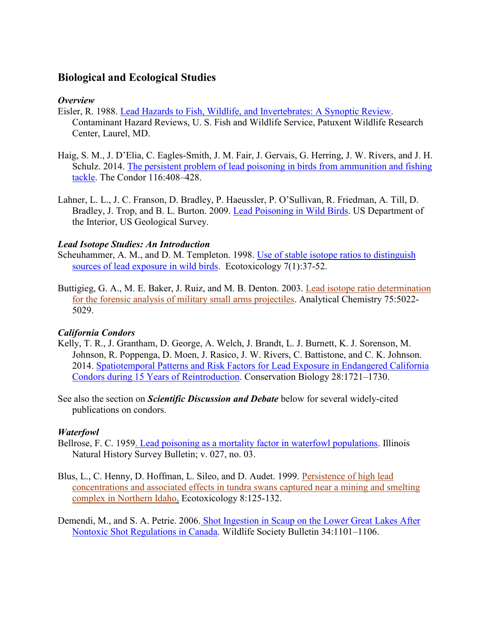# **Biological and Ecological Studies**

#### *Overview*

- Eisler, R. 1988. [Lead Hazards to Fish, Wildlife, and Invertebrates: A Synoptic Review.](http://pubs.er.usgs.gov/publication/5200021) Contaminant Hazard Reviews, U. S. Fish and Wildlife Service, Patuxent Wildlife Research Center, Laurel, MD.
- Haig, S. M., J. D'Elia, C. Eagles-Smith, J. M. Fair, J. Gervais, G. Herring, J. W. Rivers, and J. H. Schulz. 2014. [The persistent problem of lead poisoning in birds from ammunition and fishing](http://aoucospubs.org/doi/abs/10.1650/CONDOR-14-36.1)  [tackle.](http://aoucospubs.org/doi/abs/10.1650/CONDOR-14-36.1) The Condor 116:408–428.
- Lahner, L. L., J. C. Franson, D. Bradley, P. Haeussler, P. O'Sullivan, R. Friedman, A. Till, D. Bradley, J. Trop, and B. L. Burton. 2009. [Lead Poisoning in Wild Birds.](http://www.nwhc.usgs.gov/publications/fact_sheets/pdfs/lead_poisoning_wild_birds_2009.pdf) US Department of the Interior, US Geological Survey.

#### *Lead Isotope Studies: An Introduction*

Scheuhammer, A. M., and D. M. Templeton. 1998. [Use of stable isotope ratios to distinguish](http://link.springer.com/article/10.1023/A%3A1008855617453)  [sources of lead exposure in wild birds.](http://link.springer.com/article/10.1023/A%3A1008855617453) Ecotoxicology 7(1):37-52.

Buttigieg, G. A., M. E. Baker, J. Ruiz, and M. B. Denton. 2003. [Lead isotope ratio determination](http://pubs.acs.org/doi/abs/10.1021/ac0301346)  [for the forensic analysis of military small arms projectiles.](http://pubs.acs.org/doi/abs/10.1021/ac0301346) Analytical Chemistry 75:5022- 5029.

## *California Condors*

- Kelly, T. R., J. Grantham, D. George, A. Welch, J. Brandt, L. J. Burnett, K. J. Sorenson, M. Johnson, R. Poppenga, D. Moen, J. Rasico, J. W. Rivers, C. Battistone, and C. K. Johnson. 2014. [Spatiotemporal Patterns and Risk Factors for Lead Exposure in Endangered California](http://onlinelibrary.wiley.com/doi/10.1111/cobi.12342/abstract;jsessionid=43EF83EB874B9A0C23130E25096C7E2F.f03t02?userIsAuthenticated=false&deniedAccessCustomisedMessage=)  [Condors during 15 Years of Reintroduction.](http://onlinelibrary.wiley.com/doi/10.1111/cobi.12342/abstract;jsessionid=43EF83EB874B9A0C23130E25096C7E2F.f03t02?userIsAuthenticated=false&deniedAccessCustomisedMessage=) Conservation Biology 28:1721–1730.
- See also the section on *Scientific Discussion and Debate* below for several widely-cited publications on condors.

## *Waterfowl*

- Bellrose, F. C. 195[9. Lead poisoning as a mortality factor in waterfowl populations.](https://www.ideals.illinois.edu/handle/2142/44086) Illinois Natural History Survey Bulletin; v. 027, no. 03.
- Blus, L., C. Henny, D. Hoffman, L. Sileo, and D. Audet. 1999. [Persistence of high lead](http://link.springer.com/article/10.1023%2FA%3A1008918819661)  [concentrations and associated effects in tundra swans captured near a mining and smelting](http://link.springer.com/article/10.1023%2FA%3A1008918819661)  [complex in Northern Idaho.](http://link.springer.com/article/10.1023%2FA%3A1008918819661) Ecotoxicology 8:125-132.
- Demendi, M., and S. A. Petrie. 2006. [Shot Ingestion in Scaup on the Lower Great Lakes After](http://onlinelibrary.wiley.com/doi/10.2193/0091-7648(2006)34%5b1101:SIISOT%5d2.0.CO;2/abstract)  [Nontoxic Shot Regulations in Canada.](http://onlinelibrary.wiley.com/doi/10.2193/0091-7648(2006)34%5b1101:SIISOT%5d2.0.CO;2/abstract) Wildlife Society Bulletin 34:1101–1106.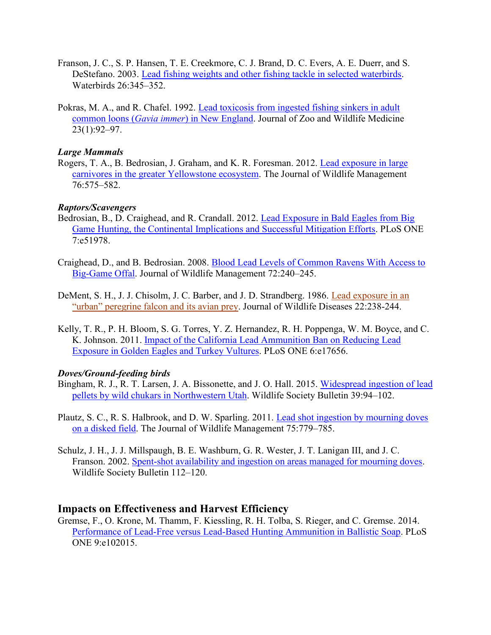- Franson, J. C., S. P. Hansen, T. E. Creekmore, C. J. Brand, D. C. Evers, A. E. Duerr, and S. DeStefano. 2003. [Lead fishing weights and other fishing tackle in selected waterbirds.](http://www.bioone.org/doi/abs/10.1675/1524-4695(2003)026%5B0345:LFWAOF%5D2.0.CO%3B2) Waterbirds 26:345–352.
- Pokras, M. A., and R. Chafel. 1992. [Lead toxicosis from ingested fishing sinkers in adult](http://www.jstor.org/stable/20460274?seq=1#page_scan_tab_contents)  common loons (*Gavia immer*[\) in New England.](http://www.jstor.org/stable/20460274?seq=1#page_scan_tab_contents) Journal of Zoo and Wildlife Medicine 23(1):92–97.

#### *Large Mammals*

Rogers, T. A., B. Bedrosian, J. Graham, and K. R. Foresman. 2012. [Lead exposure in large](http://onlinelibrary.wiley.com/doi/10.1002/jwmg.277/abstract)  [carnivores in the greater Yellowstone ecosystem.](http://onlinelibrary.wiley.com/doi/10.1002/jwmg.277/abstract) The Journal of Wildlife Management 76:575–582.

#### *Raptors/Scavengers*

- Bedrosian, B., D. Craighead, and R. Crandall. 2012. [Lead Exposure in Bald Eagles from Big](http://journals.plos.org/plosone/article?id=10.1371/journal.pone.0051978)  [Game Hunting, the Continental Implications and Successful Mitigation Efforts.](http://journals.plos.org/plosone/article?id=10.1371/journal.pone.0051978) PLoS ONE 7:e51978.
- Craighead, D., and B. Bedrosian. 2008. [Blood Lead Levels of Common Ravens With Access to](http://www.bioone.org/doi/abs/10.2193/2007-120)  [Big-Game Offal.](http://www.bioone.org/doi/abs/10.2193/2007-120) Journal of Wildlife Management 72:240–245.
- DeMent, S. H., J. J. Chisolm, J. C. Barber, and J. D. Strandberg. 1986. [Lead exposure in an](http://www.ncbi.nlm.nih.gov/pubmed/3086577)  ["urban" peregrine falcon and its avian prey](http://www.ncbi.nlm.nih.gov/pubmed/3086577). Journal of Wildlife Diseases 22:238-244.
- Kelly, T. R., P. H. Bloom, S. G. Torres, Y. Z. Hernandez, R. H. Poppenga, W. M. Boyce, and C. K. Johnson. 2011. [Impact of the California Lead Ammunition Ban on Reducing Lead](http://journals.plos.org/plosone/article?id=10.1371/journal.pone.0017656)  [Exposure in Golden Eagles and Turkey Vultures.](http://journals.plos.org/plosone/article?id=10.1371/journal.pone.0017656) PLoS ONE 6:e17656.

#### *Doves/Ground-feeding birds*

- Bingham, R. J., R. T. Larsen, J. A. Bissonette, and J. O. Hall. 2015. [Widespread ingestion](http://onlinelibrary.wiley.com/doi/10.1002/wsb.527/abstract) of lead [pellets by wild chukars in Northwestern Utah.](http://onlinelibrary.wiley.com/doi/10.1002/wsb.527/abstract) Wildlife Society Bulletin 39:94–102.
- Plautz, S. C., R. S. Halbrook, and D. W. Sparling. 2011. [Lead shot ingestion by mourning doves](http://onlinelibrary.wiley.com/doi/10.1002/jwmg.105/abstract?userIsAuthenticated=false&deniedAccessCustomisedMessage=)  [on a disked field.](http://onlinelibrary.wiley.com/doi/10.1002/jwmg.105/abstract?userIsAuthenticated=false&deniedAccessCustomisedMessage=) The Journal of Wildlife Management 75:779–785.
- Schulz, J. H., J. J. Millspaugh, B. E. Washburn, G. R. Wester, J. T. Lanigan III, and J. C. Franson. 2002. [Spent-shot availability and ingestion on areas managed for mourning doves.](http://www.jstor.org/stable/3784644?seq=1#page_scan_tab_contents) Wildlife Society Bulletin 112–120.

#### **Impacts on Effectiveness and Harvest Efficiency**

Gremse, F., O. Krone, M. Thamm, F. Kiessling, R. H. Tolba, S. Rieger, and C. Gremse. 2014. [Performance of Lead-Free versus Lead-Based Hunting Ammunition in Ballistic Soap.](http://journals.plos.org/plosone/article?id=10.1371/journal.pone.0102015) PLoS ONE 9:e102015.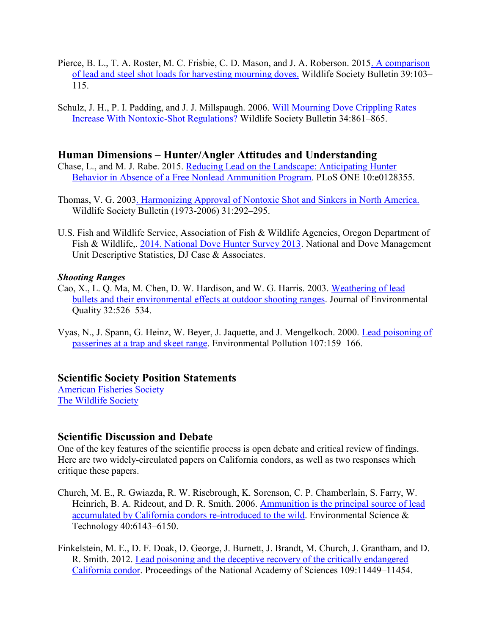- Pierce, B. L., T. A. Roster, M. C. Frisbie, C. D. Mason, and J. A. Roberson. 201[5. A comparison](http://onlinelibrary.wiley.com/doi/10.1002/wsb.504/abstract)  [of lead and steel shot loads for harvesting mourning doves.](http://onlinelibrary.wiley.com/doi/10.1002/wsb.504/abstract) Wildlife Society Bulletin 39:103– 115.
- Schulz, J. H., P. I. Padding, and J. J. Millspaugh. 2006. [Will Mourning Dove Crippling Rates](http://onlinelibrary.wiley.com/doi/10.1002/wsb.504/abstract)  [Increase With Nontoxic-Shot Regulations?](http://onlinelibrary.wiley.com/doi/10.1002/wsb.504/abstract) Wildlife Society Bulletin 34:861–865.

## **Human Dimensions – Hunter/Angler Attitudes and Understanding**

- Chase, L., and M. J. Rabe. 2015. [Reducing Lead on the Landscape: Anticipating Hunter](http://journals.plos.org/plosone/article?id=10.1371/journal.pone.0128355)  Behavior in [Absence of a Free Nonlead Ammunition Program.](http://journals.plos.org/plosone/article?id=10.1371/journal.pone.0128355) PLoS ONE 10:e0128355.
- Thomas, V. G. 200[3. Harmonizing Approval of Nontoxic Shot and Sinkers in North America.](http://www.jstor.org/stable/3784388) Wildlife Society Bulletin (1973-2006) 31:292–295.
- U.S. Fish and Wildlife Service, Association of Fish & Wildlife Agencies, Oregon Department of Fish & Wildlife, [2014. National Dove Hunter Survey 2013.](http://www.fishwildlife.org/files/National_Dove_Hunter_Survey_Report_7-22-14.pdf) National and Dove Management Unit Descriptive Statistics, DJ Case & Associates.

#### *Shooting Ranges*

- Cao, X., L. Q. Ma, M. Chen, D. W. Hardison, and W. G. Harris. 2003. [Weathering of lead](https://dl.sciencesocieties.org/publications/jeq/abstracts/32/2/526)  [bullets and their environmental effects at outdoor shooting ranges.](https://dl.sciencesocieties.org/publications/jeq/abstracts/32/2/526) Journal of Environmental Quality 32:526–534.
- Vyas, N., J. Spann, G. Heinz, W. Beyer, J. Jaquette, and J. Mengelkoch. 2000. [Lead poisoning of](http://www.sciencedirect.com/science/article/pii/S0269749199001128)  [passerines at a trap and skeet range.](http://www.sciencedirect.com/science/article/pii/S0269749199001128) Environmental Pollution 107:159–166.

## **Scientific Society Position Statements**

[American Fisheries Society](http://fisheries.org/docs/policy_statements/policy_35f.pdf) [The Wildlife Society](http://wildlife.org/wp-content/uploads/2014/11/Lead-Final.7.31.09_Renewed-Oct.15.pdf)

## **Scientific Discussion and Debate**

One of the key features of the scientific process is open debate and critical review of findings. Here are two widely-circulated papers on California condors, as well as two responses which critique these papers.

- Church, M. E., R. Gwiazda, R. W. Risebrough, K. Sorenson, C. P. Chamberlain, S. Farry, W. Heinrich, B. A. Rideout, and D. R. Smith. 2006. Ammunition is the principal source of lead [accumulated by California condors re-introduced to the wild.](http://pubs.acs.org/doi/abs/10.1021/es060765s) Environmental Science & Technology 40:6143–6150.
- Finkelstein, M. E., D. F. Doak, D. George, J. Burnett, J. Brandt, M. Church, J. Grantham, and D. R. Smith. 2012. [Lead poisoning and the deceptive recovery of the critically endangered](http://www.pnas.org/content/109/28/11449.short)  [California condor.](http://www.pnas.org/content/109/28/11449.short) Proceedings of the National Academy of Sciences 109:11449–11454.